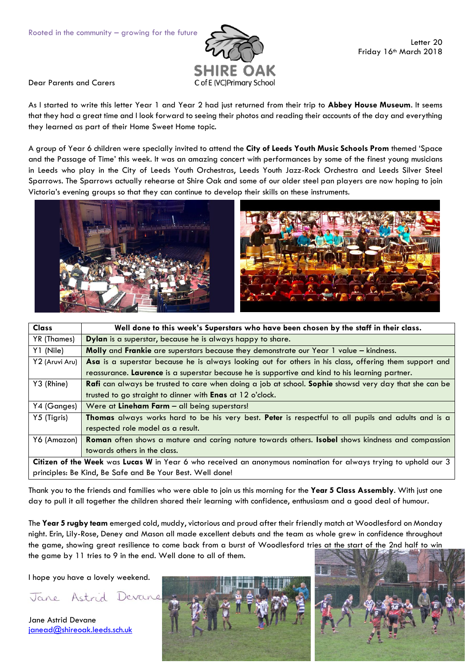

Dear Parents and Carers

As I started to write this letter Year 1 and Year 2 had just returned from their trip to **Abbey House Museum**. It seems that they had a great time and I look forward to seeing their photos and reading their accounts of the day and everything they learned as part of their Home Sweet Home topic.

A group of Year 6 children were specially invited to attend the **City of Leeds Youth Music Schools Prom** themed 'Space and the Passage of Time' this week. It was an amazing concert with performances by some of the finest young musicians in Leeds who play in the City of Leeds Youth Orchestras, Leeds Youth Jazz-Rock Orchestra and Leeds Silver Steel Sparrows. The Sparrows actually rehearse at Shire Oak and some of our older steel pan players are now hoping to join Victoria's evening groups so that they can continue to develop their skills on these instruments.



| <b>Class</b>                                                                                                     | Well done to this week's Superstars who have been chosen by the staff in their class.                               |  |
|------------------------------------------------------------------------------------------------------------------|---------------------------------------------------------------------------------------------------------------------|--|
| YR (Thames)                                                                                                      | Dylan is a superstar, because he is always happy to share.                                                          |  |
| Y1 (Nile)                                                                                                        | Molly and Frankie are superstars because they demonstrate our Year 1 value - kindness.                              |  |
| Y2 (Aruvi Aru)                                                                                                   | Asa is a superstar because he is always looking out for others in his class, offering them support and              |  |
|                                                                                                                  | reassurance. Laurence is a superstar because he is supportive and kind to his learning partner.                     |  |
| Y3 (Rhine)                                                                                                       | <b>Rafi</b> can always be trusted to care when doing a job at school. <b>Sophie</b> showsd very day that she can be |  |
|                                                                                                                  | trusted to go straight to dinner with <b>Enas</b> at 12 o'clock.                                                    |  |
| Y4 (Ganges)                                                                                                      | Were at Lineham Farm - all being superstars!                                                                        |  |
| Y5 (Tigris)                                                                                                      | Thomas always works hard to be his very best. Peter is respectful to all pupils and adults and is a                 |  |
|                                                                                                                  | respected role model as a result.                                                                                   |  |
| Y6 (Amazon)                                                                                                      | Roman often shows a mature and caring nature towards others. Isobel shows kindness and compassion                   |  |
|                                                                                                                  | towards others in the class.                                                                                        |  |
| Citizen of the Week was Lucas W in Year 6 who received an anonymous nomination for always trying to uphold our 3 |                                                                                                                     |  |
| principles: Be Kind, Be Safe and Be Your Best. Well done!                                                        |                                                                                                                     |  |

Thank you to the friends and families who were able to join us this morning for the **Year 5 Class Assembly**. With just one day to pull it all together the children shared their learning with confidence, enthusiasm and a good deal of humour.

The **Year 5 rugby team** emerged cold, muddy, victorious and proud after their friendly match at Woodlesford on Monday night. Erin, Lily-Rose, Deney and Mason all made excellent debuts and the team as whole grew in confidence throughout the game, showing great resilience to come back from a burst of Woodlesford tries at the start of the 2nd half to win the game by 11 tries to 9 in the end. Well done to all of them.

I hope you have a lovely weekend.

Jane Astrid Devane

Jane Astrid Devane [janead@shireoak.leeds.sch.uk](mailto:janead@shireoak.leeds.sch.uk)